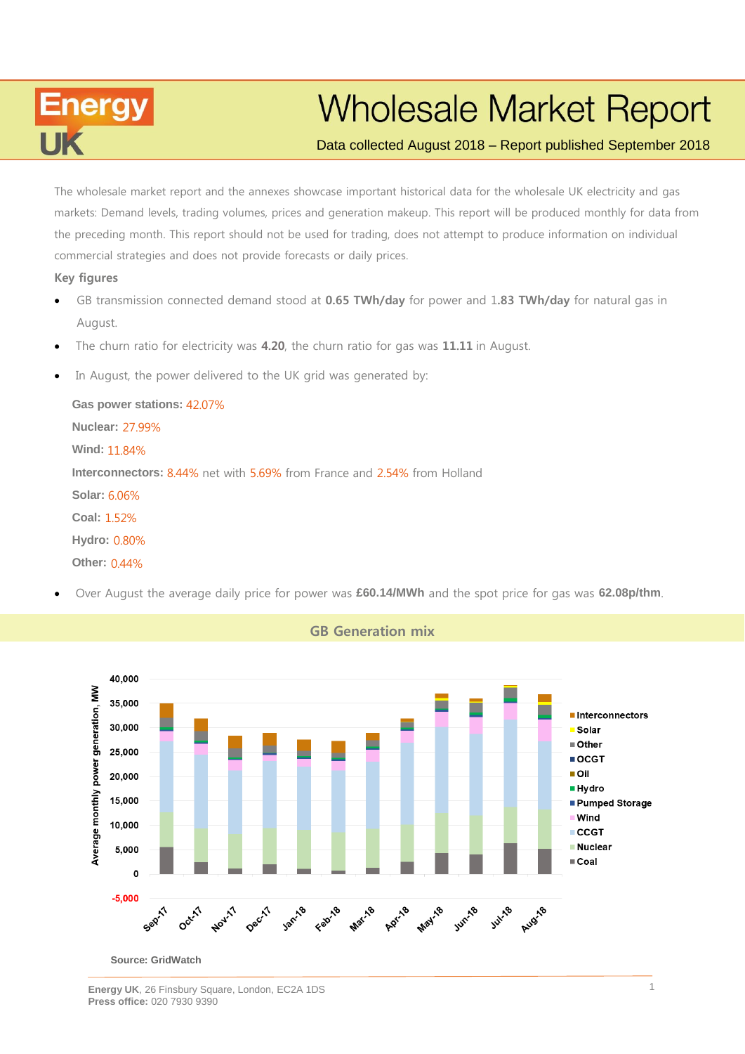

## **Wholesale Market Report**

## Data collected August 2018 – Report published September 2018

markets: Demand levels, trading volumes, prices and generation makeup. This report will be produced monthly for data from the preceding month. This report should not be used for trading, does not attempt to produce information on individual commercial strategies and does not provide forecasts or daily prices. The wholesale market report and the annexes showcase important historical data for the wholesale UK electricity and gas

#### **Key figures**

- produce information on individual commercial strategies and does not provide forecasts or daily prices. GB transmission connected demand stood at **0.65 TWh/day** for power and 1**.83 TWh/day** for natural gas in August.
- The churn ratio for electricity was **4.20**, the churn ratio for gas was **11.11** in August.
- In August, the power delivered to the UK grid was generated by:

**Gas power stations:** 42.07% **Nuclear:** 27.99% **Wind:** 11.84% **Interconnectors:** 8.44% net with 5.69% from France and 2.54% from Holland **Solar:** 6.06% **Coal:** 1.52% **Hydro:** 0.80% **Other:** 0.44%

Over August the average daily price for power was **£60.14/MWh** and the spot price for gas was **62.08p/thm**.



**GB Generation mix**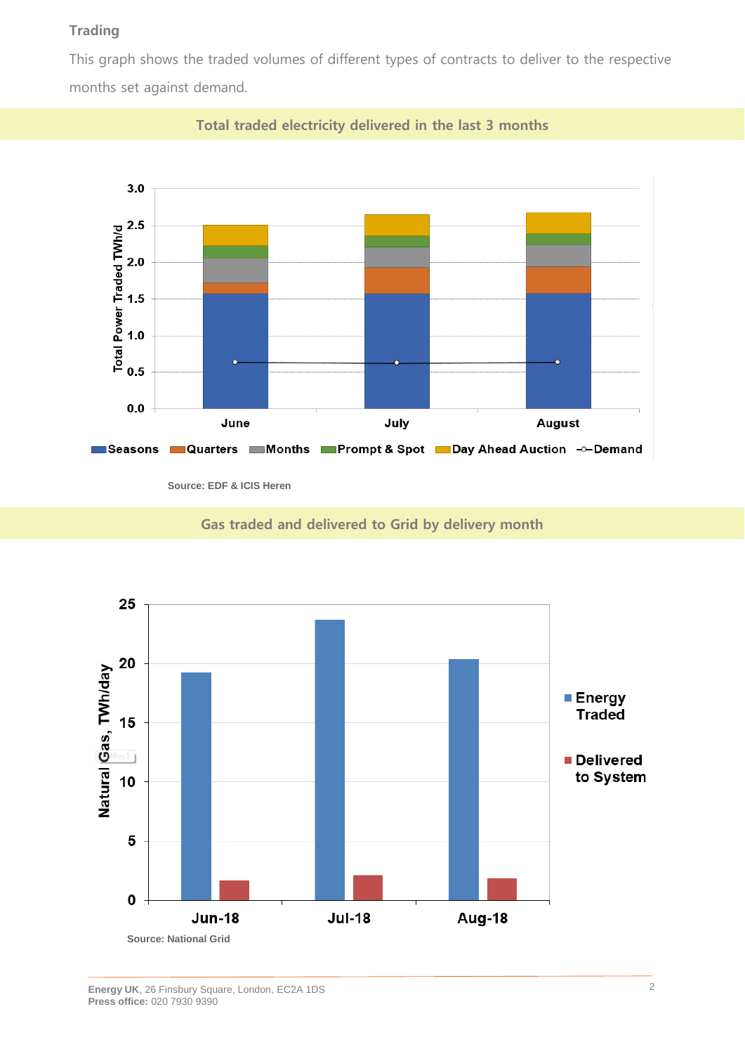## **Trading**

This graph shows the traded volumes of different types of contracts to deliver to the respective months set against demand.



**Total traded electricity delivered in the last 3 months**

**Source: EDF & ICIS Heren**

**Gas traded and delivered to Grid by delivery month**

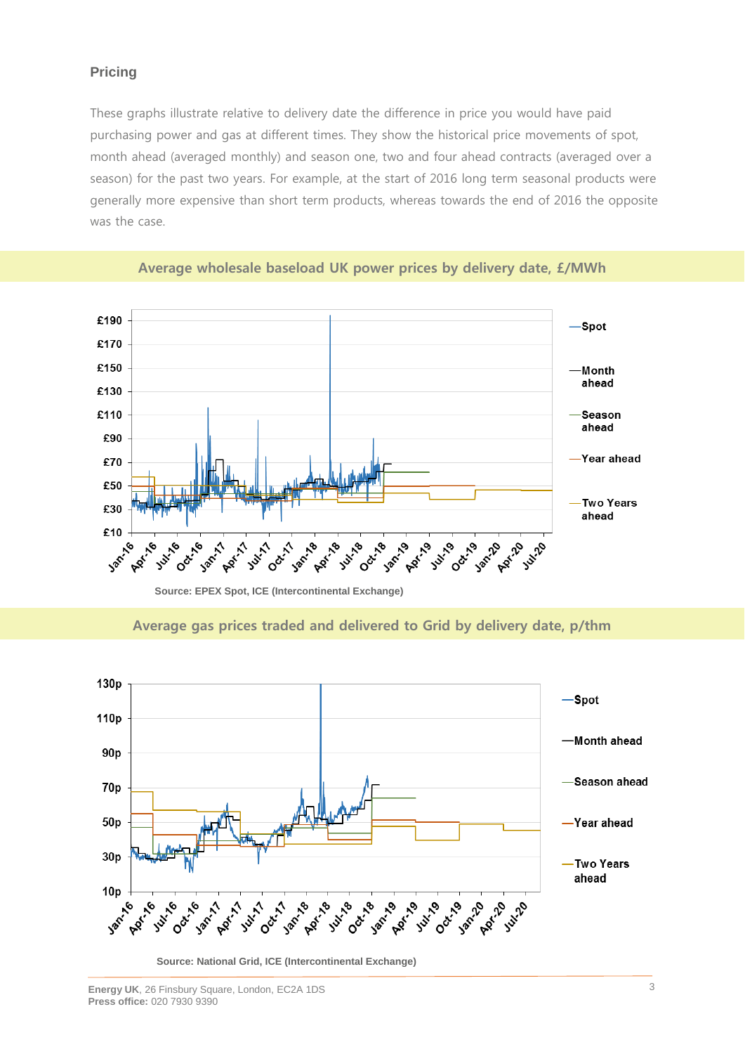## **Pricing**

These graphs illustrate relative to delivery date the difference in price you would have paid purchasing power and gas at different times. They show the historical price movements of spot, month ahead (averaged monthly) and season one, two and four ahead contracts (averaged over a season) for the past two years. For example, at the start of 2016 long term seasonal products were generally more expensive than short term products, whereas towards the end of 2016 the opposite was the case.





**Source: EPEX Spot, ICE (Intercontinental Exchange)**

**Average gas prices traded and delivered to Grid by delivery date, p/thm**



**Source: National Grid, ICE (Intercontinental Exchange)**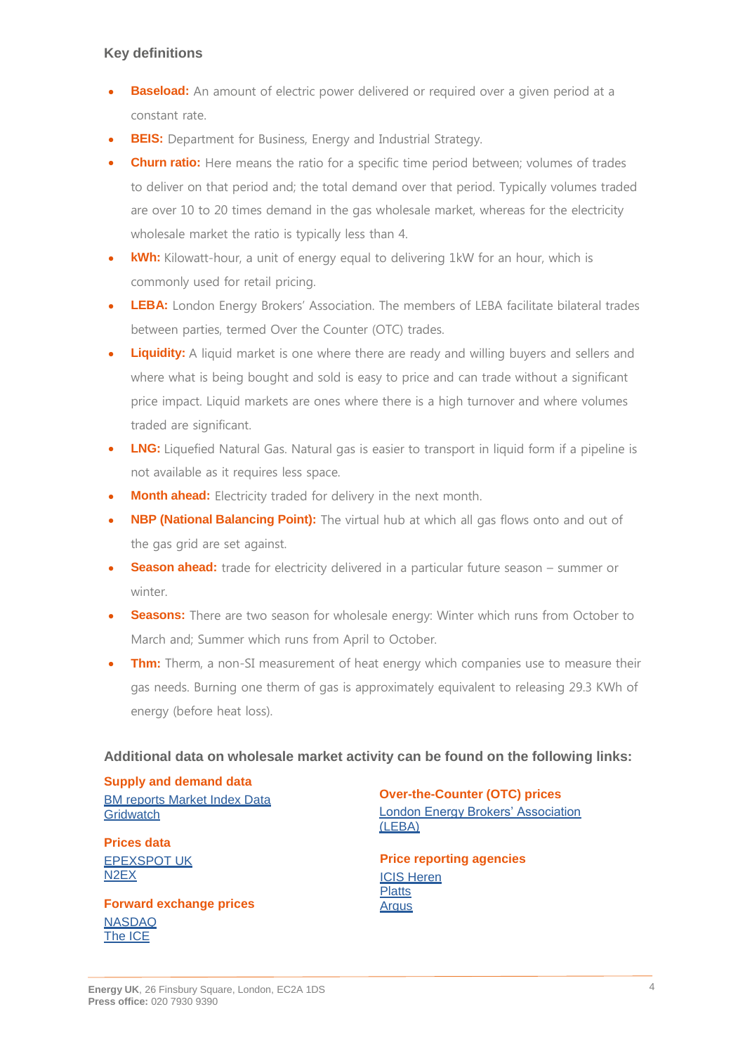## **Key definitions**

- **Baseload:** An amount of electric power delivered or required over a given period at a constant rate.
- **BEIS:** Department for Business, Energy and Industrial Strategy.
- **Churn ratio:** Here means the ratio for a specific time period between; volumes of trades to deliver on that period and; the total demand over that period. Typically volumes traded are over 10 to 20 times demand in the gas wholesale market, whereas for the electricity wholesale market the ratio is typically less than 4.
- **kWh:** Kilowatt-hour, a unit of energy equal to delivering 1kW for an hour, which is commonly used for retail pricing.
- **LEBA:** London Energy Brokers' Association. The members of LEBA facilitate bilateral trades between parties, termed Over the Counter (OTC) trades.
- **Liquidity:** A liquid market is one where there are ready and willing buyers and sellers and where what is being bought and sold is easy to price and can trade without a significant price impact. Liquid markets are ones where there is a high turnover and where volumes traded are significant.
- **LNG:** Liquefied Natural Gas. Natural gas is easier to transport in liquid form if a pipeline is not available as it requires less space.
- **Month ahead:** Electricity traded for delivery in the next month.
- **NBP (National Balancing Point):** The virtual hub at which all gas flows onto and out of the gas grid are set against.
- **Season ahead:** trade for electricity delivered in a particular future season summer or winter.
- **Seasons:** There are two season for wholesale energy: Winter which runs from October to March and; Summer which runs from April to October.
- **Thm:** Therm, a non-SI measurement of heat energy which companies use to measure their gas needs. Burning one therm of gas is approximately equivalent to releasing 29.3 KWh of energy (before heat loss).

## **Additional data on wholesale market activity can be found on the following links:**

**Supply and demand data [BM reports Market Index Data](http://www.bmreports.com/bwh_Mid.html) [Gridwatch](http://www.gridwatch.templar.co.uk/index.php)** 

**Prices data** [EPEXSPOT UK](http://www.epexspot.com/en/) [N2EX](http://www.n2ex.com/marketdata)

**Forward exchange prices** [NASDAQ](http://www.nasdaqomx.com/commodities/markets/marketprices) [The ICE](http://www.theice.com/marketdata/reports/ReportCenter.shtml#report/10 )

**Over-the-Counter (OTC) prices** [London Energy Brokers' Association](http://www.leba.org.uk/pages/index.cfm?page_id=41&title=uk_power_prompt)  [\(LEBA\)](http://www.leba.org.uk/pages/index.cfm?page_id=41&title=uk_power_prompt)

**Price reporting agencies** [ICIS Heren](http://www.icis.com/heren) **[Platts](http://www.platts.com/)** [Argus](http://www.argusmedia.com/Power)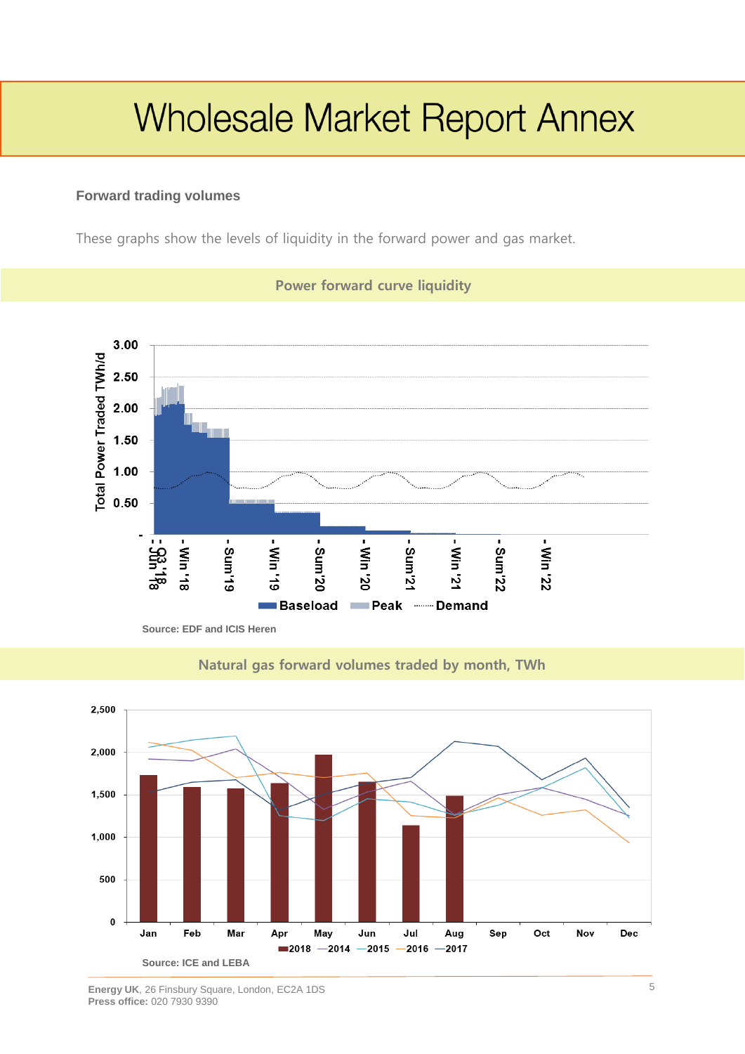# **Wholesale Market Report Annex**

## **Forward trading volumes**

These graphs show the levels of liquidity in the forward power and gas market.



**Power forward curve liquidity**

**Source: EDF and ICIS Heren**



## **Natural gas forward volumes traded by month, TWh**

**Energy UK**, 26 Finsbury Square, London, EC2A 1DS **Press office:** 020 7930 9390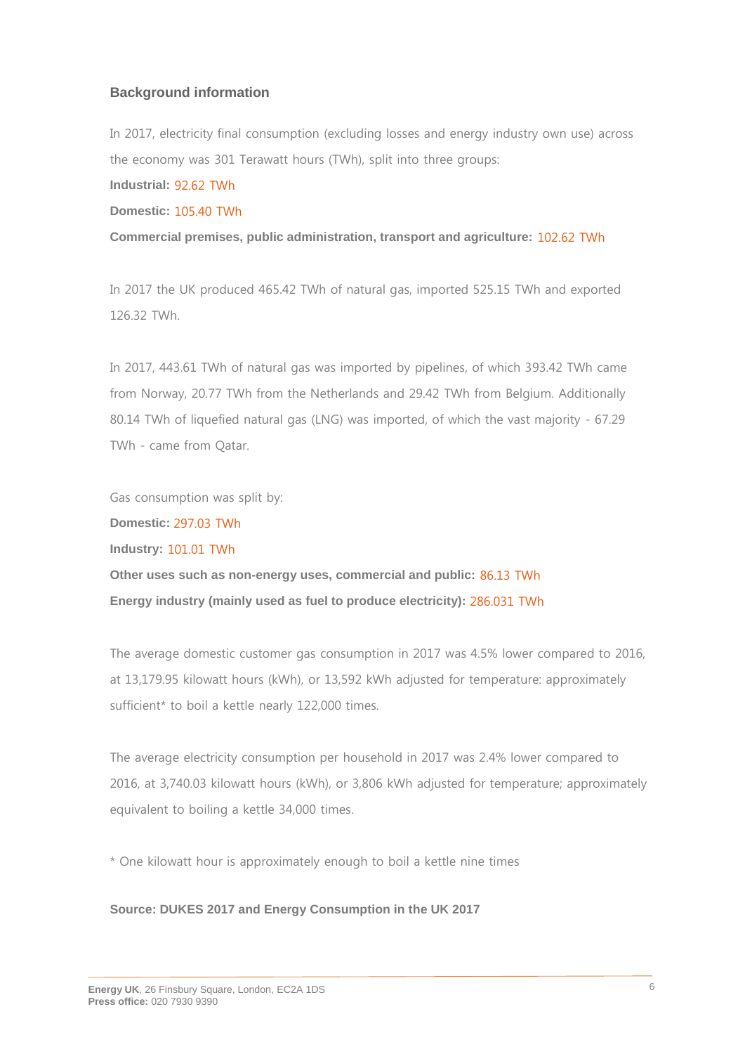#### **Background information**

In 2017, electricity final consumption (excluding losses and energy industry own use) across the economy was 301 Terawatt hours (TWh), split into three groups: **Industrial:** 92.62 TWh

**Domestic:** 105.40 TWh

**Commercial premises, public administration, transport and agriculture:** 102.62 TWh

In 2017 the UK produced 465.42 TWh of natural gas, imported 525.15 TWh and exported 126.32 TWh.

In 2017, 443.61 TWh of natural gas was imported by pipelines, of which 393.42 TWh came from Norway, 20.77 TWh from the Netherlands and 29.42 TWh from Belgium. Additionally 80.14 TWh of liquefied natural gas (LNG) was imported, of which the vast majority - 67.29 TWh - came from Qatar.

Gas consumption was split by:

**Domestic:** 297.03 TWh

**Industry:** 101.01 TWh

**Other uses such as non-energy uses, commercial and public:** 86.13 TWh **Energy industry (mainly used as fuel to produce electricity):** 286.031 TWh

The average domestic customer gas consumption in 2017 was 4.5% lower compared to 2016, at 13,179.95 kilowatt hours (kWh), or 13,592 kWh adjusted for temperature: approximately sufficient\* to boil a kettle nearly 122,000 times.

The average electricity consumption per household in 2017 was 2.4% lower compared to 2016, at 3,740.03 kilowatt hours (kWh), or 3,806 kWh adjusted for temperature; approximately equivalent to boiling a kettle 34,000 times.

\* One kilowatt hour is approximately enough to boil a kettle nine times

#### **Source: DUKES 2017 and Energy Consumption in the UK 2017**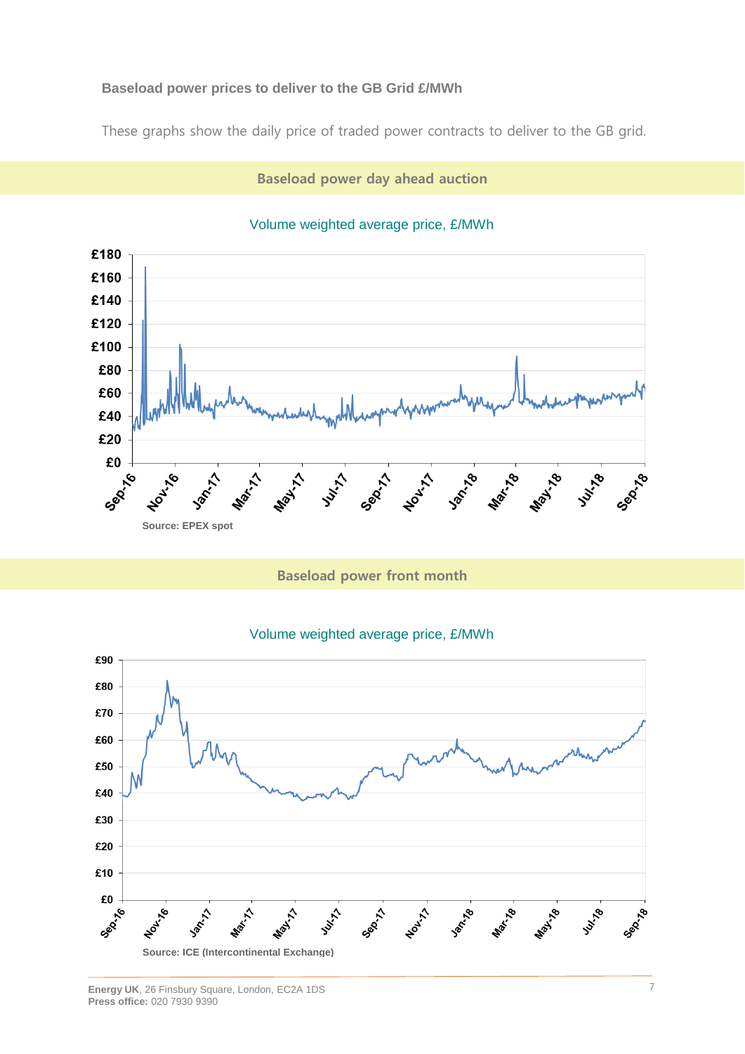## **Baseload power prices to deliver to the GB Grid £/MWh**

These graphs show the daily price of traded power contracts to deliver to the GB grid.

## **Baseload power day ahead auction**



#### Volume weighted average price, £/MWh

**Baseload power front month**

#### Volume weighted average price, £/MWh

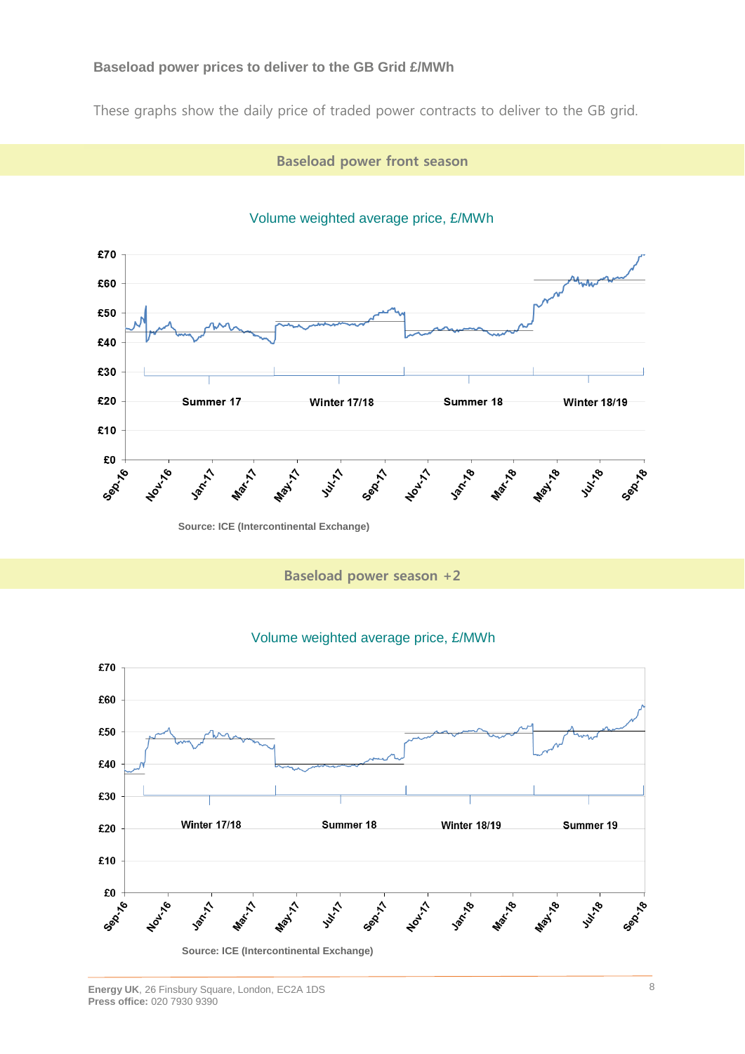#### **Baseload power prices to deliver to the GB Grid £/MWh**

These graphs show the daily price of traded power contracts to deliver to the GB grid.

**Baseload power front season**



## Volume weighted average price, £/MWh

**Baseload power season +2**

#### Volume weighted average price, £/MWh

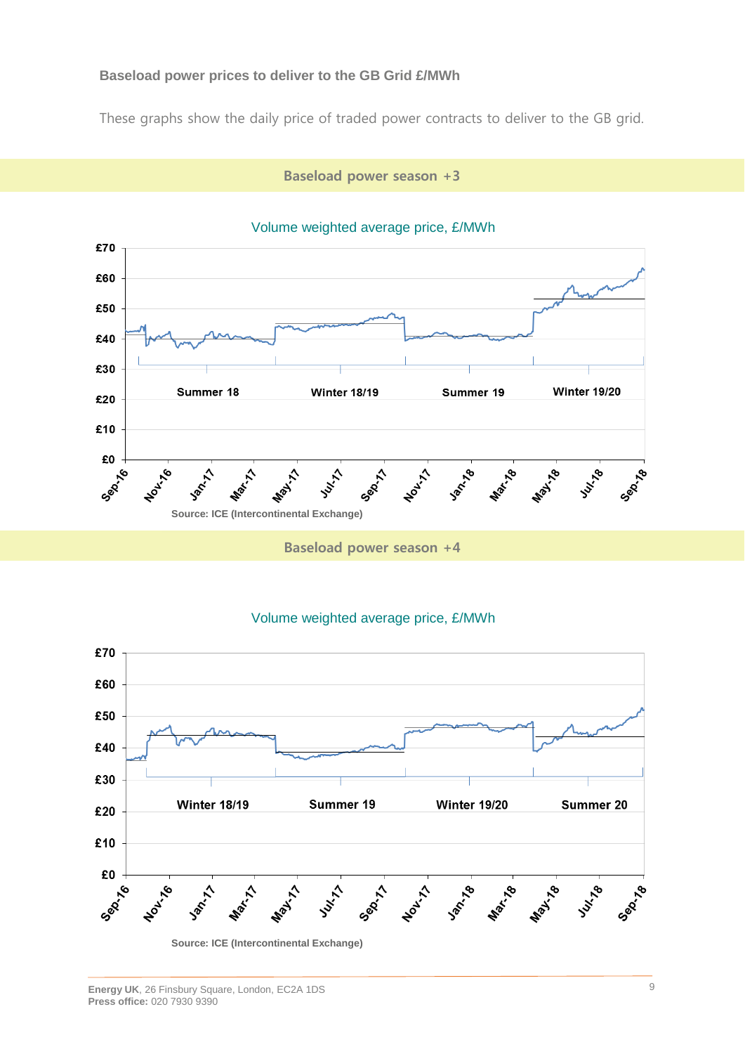## **Baseload power prices to deliver to the GB Grid £/MWh**

These graphs show the daily price of traded power contracts to deliver to the GB grid.

**Baseload power season +3**



## Volume weighted average price, £/MWh

#### Volume weighted average price, £/MWh

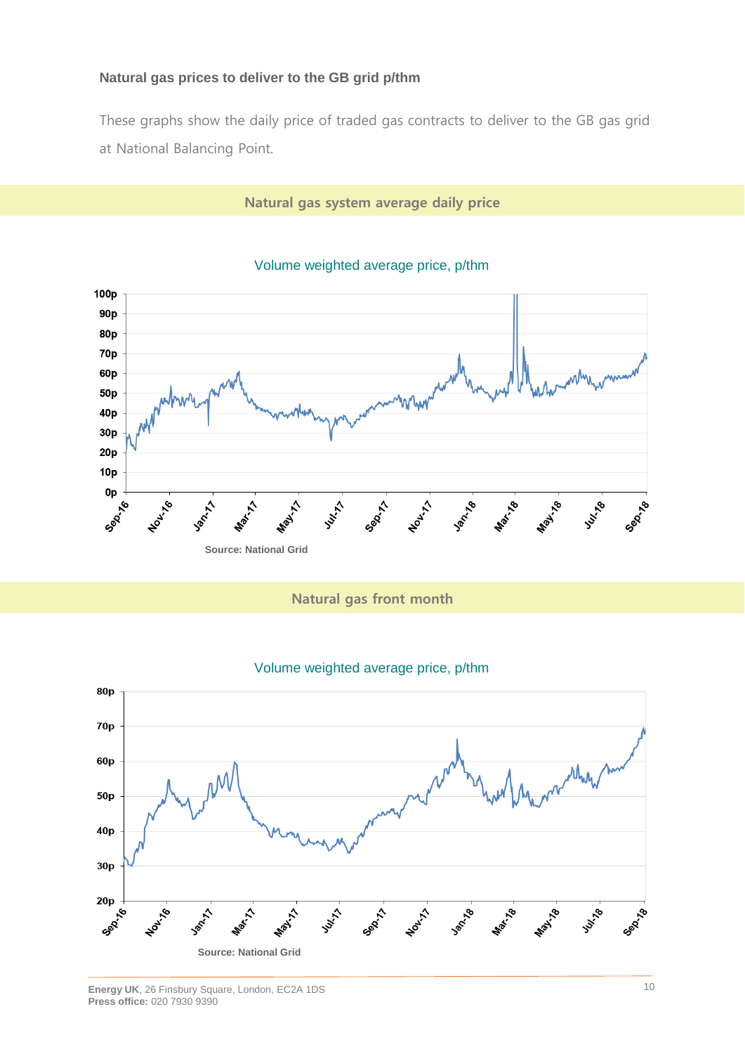## **Natural gas prices to deliver to the GB grid p/thm**

These graphs show the daily price of traded gas contracts to deliver to the GB gas grid at National Balancing Point.

#### **Natural gas system average daily price**



#### Volume weighted average price, p/thm

## **Natural gas front month**

### Volume weighted average price, p/thm

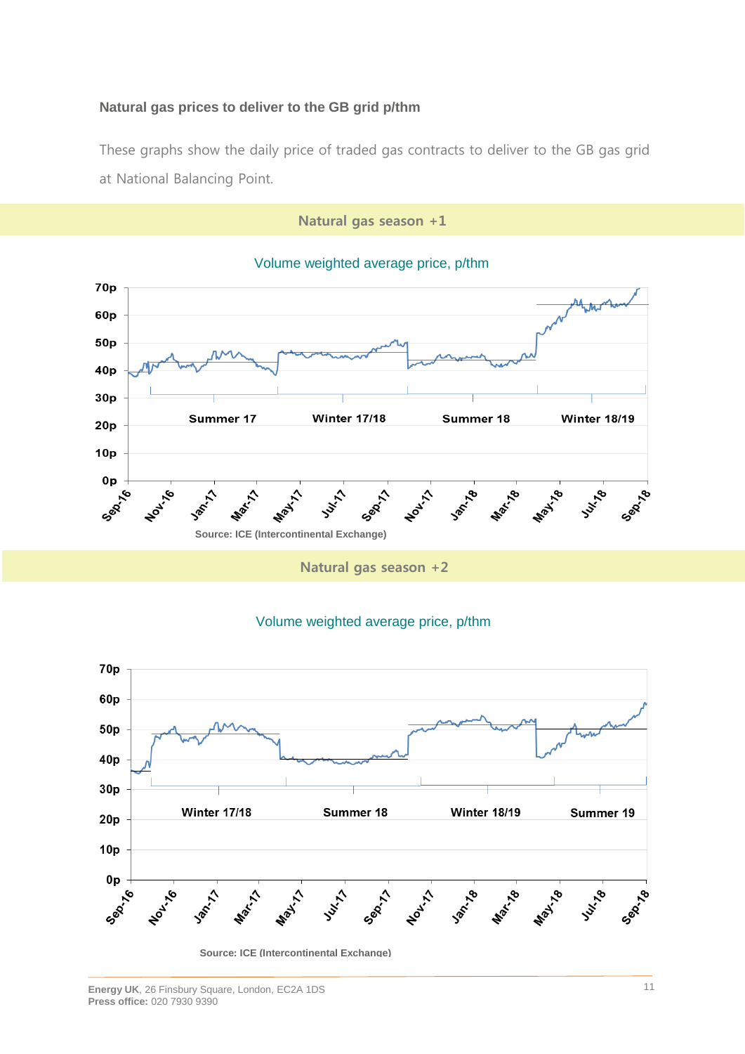## **Natural gas prices to deliver to the GB grid p/thm**

These graphs show the daily price of traded gas contracts to deliver to the GB gas grid at National Balancing Point.

**Natural gas season +1**



Volume weighted average price, p/thm

**Natural gas season +2**

### Volume weighted average price, p/thm